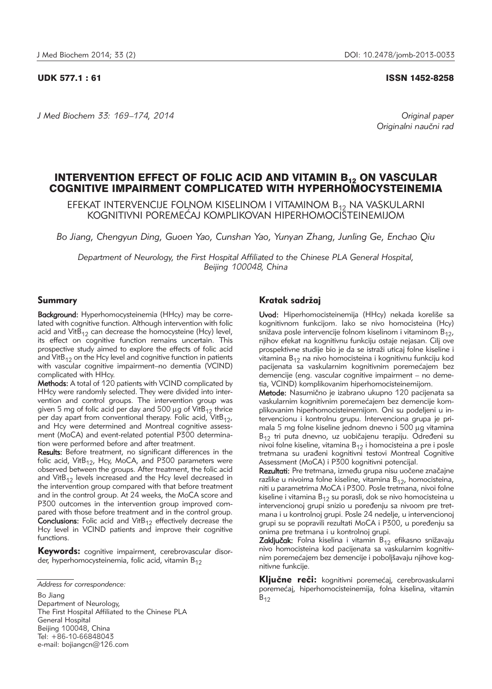## UDK 577.1 : 61 ISSN 1452-8258

*J Med Biochem 33: 169–174, 2014 Original paper*

Originalni naučni rad

# INTERVENTION EFFECT OF FOLIC ACID AND VITAMIN B<sub>12</sub> ON VASCULAR COGNITIVE IMPAIRMENT COMPLICATED WITH HYPERHOMOCYSTEINEMIA

EFEKAT INTERVENCIJE FOLNOM KISELINOM I VITAMINOM B<sub>12</sub> NA VASKULARNI KOGNITIVNI POREMEĆAJ KOMPLIKOVAN HIPERHOMOCISTEINEMIJOM

*Bo Jiang, Chengyun Ding, Guoen Yao, Cunshan Yao, Yunyan Zhang, Junling Ge, Enchao Qiu*

Department of Neurology, the First Hospital Affiliated to the Chinese PLA General Hospital, *Beijing 100048, China*

## Summary

Background: Hyperhomocysteinemia (HHcy) may be correlated with cognitive function. Although intervention with folic acid and Vit $B_{12}$  can decrease the homocysteine (Hcy) level, its effect on cognitive function remains uncertain. This prospective study aimed to explore the effects of folic acid and Vit $B_{12}$  on the Hcy level and cognitive function in patients with vascular cognitive impairment–no dementia (VCIND) complicated with HHcy.

Methods: A total of 120 patients with VCIND complicated by HHcy were randomly selected. They were divided into intervention and control groups. The intervention group was given 5 mg of folic acid per day and 500  $\mu$ g of VitB<sub>12</sub> thrice per day apart from conventional therapy. Folic acid, VitB<sub>12</sub>, and Hcy were determined and Montreal cognitive assessment (MoCA) and event-related potential P300 determination were performed before and after treatment.

Results: Before treatment, no significant differences in the folic acid, VitB<sub>12</sub>, Hcy, MoCA, and P300 parameters were observed between the groups. After treatment, the folic acid and Vit $B_{12}$  levels increased and the Hcy level decreased in the intervention group compared with that before treatment and in the control group. At 24 weeks, the MoCA score and P300 outcomes in the intervention group improved compared with those before treatment and in the control group. **Conclusions:** Folic acid and VitB $_{12}$  effectively decrease the Hcy level in VCIND patients and improve their cognitive functions.

Keywords: cognitive impairment, cerebrovascular disorder, hyperhomocysteinemia, folic acid, vitamin  $B_{12}$ 

Bo Jiang Department of Neurology, The First Hospital Affiliated to the Chinese PLA General Hospital Beijing 100048, China Tel: +86-10-66848043 e-mail: bojiangcn@126.com

## Kratak sadržaj

Uvod: Hiperhomocisteinemija (HHcy) nekada koreliše sa kognitivnom funkcijom. Iako se nivo homocisteina (Hcy) snižava posle intervencije folnom kiselinom i vitaminom  $B_{12}$ , njihov efekat na kognitivnu funkciju ostaje nejasan. Cilj ove prospektivne studije bio je da se istraži uticaj folne kiseline i vitamina  $B_{12}$  na nivo homocisteina i kognitivnu funkciju kod pacijenata sa vaskularnim kognitivnim poremećajem bez demencije (eng. vascular cognitive impairment – no demetia, VCIND) komplikovanim hiperhomocisteinemijom.

Metode: Nasumično je izabrano ukupno 120 pacijenata sa vaskularnim kognitivnim poremećajem bez demencije komplikovanim hiperhomocisteinemijom. Oni su podeljeni u inter vencionu i kontrolnu grupu. Intervenciona grupa je primala 5 mg folne kiseline jednom dnevno i 500 µg vitamina  $B_{12}$  tri puta dnevno, uz uobičajenu terapiju. Određeni su nivoi folne kiseline, vitamina  $B_{12}$  i homocisteina a pre i posle tretmana su urađeni kognitivni testovi Montreal Cognitive Assessment (MoCA) i P300 kognitivni potencijal.

Rezultati: Pre tretmana, između grupa nisu uočene značajne razlike u nivoima folne kiseline, vitamina  $B_{12}$ , homocisteina, niti u parametrima MoCA i P300. Posle tretmana, nivoi folne kiseline i vitamina  $B_{12}$  su porasli, dok se nivo homocisteina u intervencionoj grupi snizio u poređenju sa nivoom pre tretmana i u kontrolnoj grupi. Posle 24 nedelje, u intervencionoj grupi su se popravili rezultati MoCA i P300, u poređenju sa onima pre tretmana i u kontrolnoj grupi.

Zaključak: Folna kiselina i vitamin B<sub>12</sub> efikasno snižavaju nivo homocisteina kod pacijenata sa vaskularnim kognitivnim poremećajem bez demencije i poboljšavaju njihove kognitivne funkcije.

Ključne reči: kognitivni poremećaj, cerebrovaskularni poremećaj, hiperhomocisteinemija, folna kiselina, vitamin  $B_{12}$ 

*Address for correspondence:*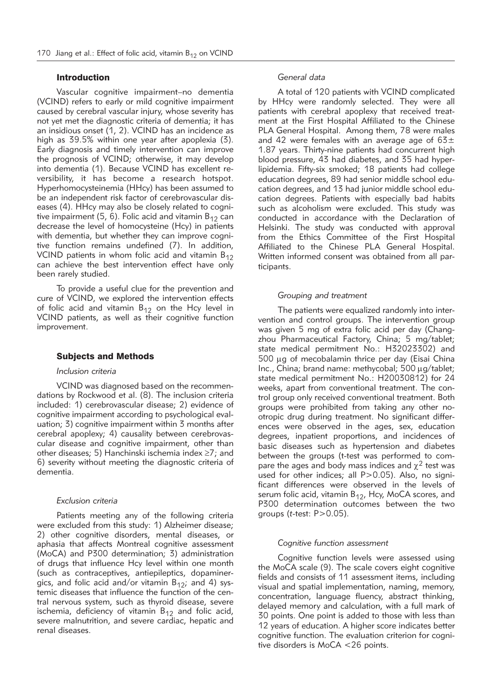## Introduction

Vascular cognitive impairment–no dementia (VCIND) refers to early or mild cognitive impairment caused by cerebral vascular injury, whose severity has not yet met the diagnostic criteria of dementia; it has an insidious onset (1, 2). VCIND has an incidence as high as 39.5% within one year after apoplexia (3). Early diagnosis and timely intervention can improve the prognosis of VCIND; otherwise, it may develop into dementia (1). Because VCIND has excellent reversibility, it has become a research hotspot. Hyperhomocysteinemia (HHcy) has been assumed to be an independent risk factor of cerebrovascular diseases (4). HHcy may also be closely related to cognitive impairment (5, 6). Folic acid and vitamin  $B_{12}$  can decrease the level of homocysteine (Hcy) in patients with dementia, but whether they can improve cognitive function remains undefined (7). In addition, VCIND patients in whom folic acid and vitamin  $B_{12}$ can achieve the best intervention effect have only been rarely studied.

To provide a useful clue for the prevention and cure of VCIND, we explored the intervention effects of folic acid and vitamin  $B_{12}$  on the Hcy level in VCIND patients, as well as their cognitive function improvement.

#### Subjects and Methods

## *Inclusion criteria*

VCIND was diagnosed based on the recommendations by Rockwood et al. (8). The inclusion criteria included: 1) cerebrovascular disease; 2) evidence of cognitive impairment according to psychological evaluation; 3) cognitive impairment within 3 months after cerebral apoplexy; 4) causality between cerebrovascular disease and cognitive impairment, other than other diseases; 5) Hanchinski ischemia index ≥7; and 6) severity without meeting the diagnostic criteria of dementia.

#### *Exclusion criteria*

Patients meeting any of the following criteria were excluded from this study: 1) Alzheimer disease; 2) other cognitive disorders, mental diseases, or aphasia that affects Montreal cognitive assessment (MoCA) and P300 determination; 3) administration of drugs that influence Hcy level within one month (such as contraceptives, antiepileptics, dopaminergics, and folic acid and/or vitamin  $B_{12}$ ; and 4) systemic diseases that influence the function of the central nervous system, such as thyroid disease, severe ischemia, deficiency of vitamin  $B_{12}$  and folic acid, severe malnutrition, and severe cardiac, hepatic and renal diseases.

## *General data*

A total of 120 patients with VCIND complicated by HHcy were randomly selected. They were all patients with cerebral apoplexy that received treatment at the First Hospital Affiliated to the Chinese PLA General Hospital. Among them, 78 were males and 42 were females with an average age of  $63\pm$ 1.87 years. Thirty-nine patients had concurrent high blood pressure, 43 had diabetes, and 35 had hyperlipidemia. Fifty-six smoked; 18 patients had college education degrees, 89 had senior middle school education degrees, and 13 had junior middle school education degrees. Patients with especially bad habits such as alcoholism were excluded. This study was conducted in accordance with the Declaration of Helsinki. The study was conducted with approval from the Ethics Committee of the First Hospital Affiliated to the Chinese PLA General Hospital. Written informed consent was obtained from all participants.

### *Grouping and treatment*

The patients were equalized randomly into intervention and control groups. The intervention group was given 5 mg of extra folic acid per day (Changzhou Pharmaceutical Factory, China; 5 mg/tablet; state medical permitment No.: H32023302) and 500 mg of mecobalamin thrice per day (Eisai China Inc., China; brand name: methycobal; 500 µg/tablet; state medical permitment No.: H20030812) for 24 weeks, apart from conventional treatment. The control group only received conventional treatment. Both groups were prohibited from taking any other nootropic drug during treatment. No significant differences were observed in the ages, sex, education degrees, inpatient proportions, and incidences of basic diseases such as hypertension and diabetes between the groups (t-test was performed to compare the ages and body mass indices and  $\chi^2$  test was used for other indices; all P>0.05). Also, no significant differences were observed in the levels of serum folic acid, vitamin  $B_{12}$ , Hcy, MoCA scores, and P300 determination outcomes between the two groups (*t*-test: P>0.05).

#### *Cognitive function assessment*

Cognitive function levels were assessed using the MoCA scale (9). The scale covers eight cognitive fields and consists of 11 assessment items, including visual and spatial implementation, naming, memory, concentration, language fluency, abstract thinking, delayed memory and calculation, with a full mark of 30 points. One point is added to those with less than 12 years of education. A higher score indicates better cognitive function. The evaluation criterion for cognitive disorders is MoCA <26 points.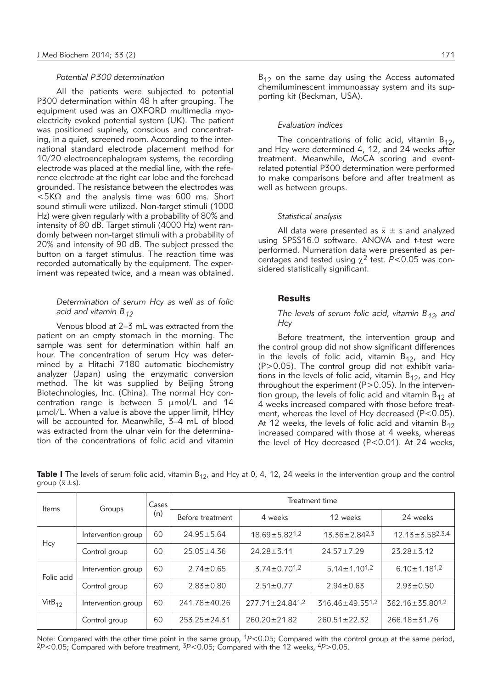## *Potential P300 determination*

All the patients were subjected to potential P300 determination within 48 h after grouping. The equipment used was an OXFORD multimedia myoelectricity evoked potential system (UK). The patient was positioned supinely, conscious and concentrating, in a quiet, screened room. According to the international standard electrode placement method for 10/20 electroencephalogram systems, the recording electrode was placed at the medial line, with the reference electrode at the right ear lobe and the forehead grounded. The resistance between the electrodes was  $<$  5K $\Omega$  and the analysis time was 600 ms. Short sound stimuli were utilized. Non-target stimuli (1000 Hz) were given regularly with a probability of 80% and intensity of 80 dB. Target stimuli (4000 Hz) went randomly between non-target stimuli with a probability of 20% and intensity of 90 dB. The subject pressed the button on a target stimulus. The reaction time was recorded automatically by the equipment. The experiment was repeated twice, and a mean was obtained.

## *Determination of serum Hcy as well as of folic acid and vitamin B12*

Venous blood at 2–3 mL was extracted from the patient on an empty stomach in the morning. The sample was sent for determination within half an hour. The concentration of serum Hcy was determined by a Hitachi 7180 automatic biochemistry analyzer (Japan) using the enzymatic conversion method. The kit was supplied by Beijing Strong Biotechnologies, Inc. (China). The normal Hcy concentration range is between  $5 \mu \text{mol/L}$  and 14 mmol/L. When a value is above the upper limit, HHcy will be accounted for. Meanwhile, 3–4 mL of blood was extracted from the ulnar vein for the determination of the concentrations of folic acid and vitamin  $B_{12}$  on the same day using the Access automated chemiluminescent immunoassay system and its supporting kit (Beckman, USA).

#### *Evaluation indices*

The concentrations of folic acid, vitamin  $B_{12}$ , and Hcy were determined 4, 12, and 24 weeks after treatment. Meanwhile, MoCA scoring and eventrelated potential P300 determination were performed to make comparisons before and after treatment as well as between groups.

#### *Statistical analysis*

All data were presented as  $\bar{x} \pm s$  and analyzed using SPSS16.0 software. ANOVA and t-test were performed. Numeration data were presented as percentages and tested using  $\chi^2$  test. *P*<0.05 was considered statistically significant.

#### **Results**

### *The levels of serum folic acid, vitamin B<sub>12</sub>, and Hcy*

Before treatment, the intervention group and the control group did not show significant differences in the levels of folic acid, vitamin  $B_{12}$ , and Hcy (P>0.05). The control group did not exhibit variations in the levels of folic acid, vitamin  $B_{12}$ , and Hcy throughout the experiment ( $P>0.05$ ). In the intervention group, the levels of folic acid and vitamin  $B_{12}$  at 4 weeks increased compared with those before treatment, whereas the level of Hcy decreased (P<0.05). At 12 weeks, the levels of folic acid and vitamin  $B_{12}$ increased compared with those at 4 weeks, whereas the level of Hcy decreased (P<0.01). At 24 weeks,

| <b>Items</b> | Groups             | Cases !<br>(n) | Treatment time     |                                   |                                   |                                |  |
|--------------|--------------------|----------------|--------------------|-----------------------------------|-----------------------------------|--------------------------------|--|
|              |                    |                | Before treatment   | 4 weeks                           | 12 weeks                          | 24 weeks                       |  |
| Hcy          | Intervention group | 60             | $24.95 \pm 5.64$   | $18.69 \pm 5.82^{1,2}$            | $13.36 \pm 2.84^{2,3}$            | $12.13 \pm 3.58^{2,3,4}$       |  |
|              | Control group      | 60             | $25.05 \pm 4.36$   | $24.28 \pm 5.11$                  | $24.57 \pm 7.29$                  | $23.28 \pm 5.12$               |  |
| Folic acid   | Intervention group | 60             | $2.74 \pm 0.65$    | $3.74 \pm 0.70$ <sup>1,2</sup>    | $5.14 \pm 1.10^{1.2}$             | $6.10 \pm 1.18$ <sup>1,2</sup> |  |
|              | Control group      | 60             | $2.83 \pm 0.80$    | $2.51 \pm 0.77$                   | $2.94 \pm 0.63$                   | $2.93 \pm 0.50$                |  |
| $VitB_{12}$  | Intervention group | 60             | 241.78 ± 40.26     | $277.71 \pm 24.84$ <sup>1,2</sup> | $316.46 \pm 49.55$ <sup>1,2</sup> | $362.16 \pm 35.80^{1,2}$       |  |
|              | Control group      | 60             | $253.25 \pm 24.31$ | $260.20 \pm 21.82$                | $260.51 \pm 22.32$                | $266.18 \pm 31.76$             |  |

**Table I** The levels of serum folic acid, vitamin  $B_{12}$ , and Hcy at 0, 4, 12, 24 weeks in the intervention group and the control group  $(\bar{x} \pm s)$ .

Note: Compared with the other time point in the same group, <sup>1</sup>P<0.05; Compared with the control group at the same period, <sup>2</sup>*P*<0.05; Compared with before treatment, 3*P*<0.05; Compared with the 12 weeks, 4*P*>0.05.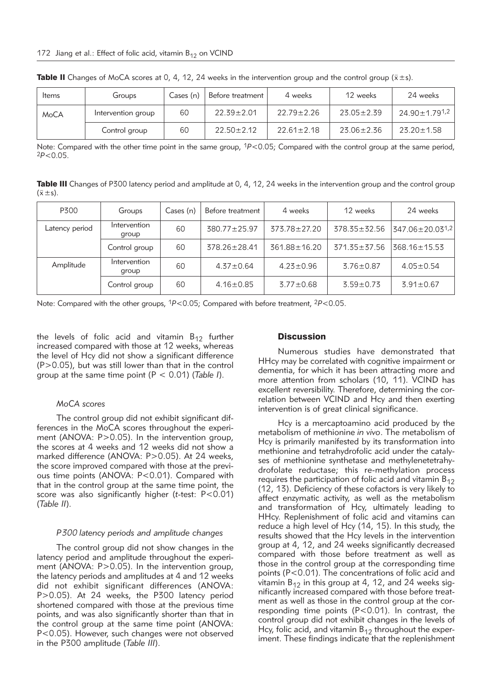| Items | Groups             | Cases (n) | Before treatment ' | 4 weeks          | 12 weeks         | 24 weeks                  |
|-------|--------------------|-----------|--------------------|------------------|------------------|---------------------------|
| MoCA  | Intervention group | 60        | $22.39 \pm 2.01$   | $22.79 \pm 2.26$ | $23.05 \pm 2.39$ | 24.90±1.79 <sup>1,2</sup> |
|       | Control group      | 60        | $22.50 \pm 2.12$   | $22.61 \pm 2.18$ | $23.06 \pm 2.36$ | $23.20 \pm 1.58$          |

**Table II** Changes of MoCA scores at 0, 4, 12, 24 weeks in the intervention group and the control group ( $\bar{x}$  ±s).

Note: Compared with the other time point in the same group, <sup>1</sup>P<0.05; Compared with the control group at the same period, <sup>2</sup>*P*<0.05.

Table III Changes of P300 latency period and amplitude at 0, 4, 12, 24 weeks in the intervention group and the control group  $(\bar{x} \pm s)$ .

| P300           | Groups                | Cases (n) | Before treatment   | 4 weeks            | 12 weeks           | 24 weeks           |
|----------------|-----------------------|-----------|--------------------|--------------------|--------------------|--------------------|
| Latency period | Intervention<br>group | 60        | 380.77 ± 25.97     | $373.78 \pm 27.20$ | $378.35 \pm 32.56$ | 347.06±20.031,2    |
|                | Control group         | 60        | $378.26 \pm 28.41$ | 361.88±16.20       | $371.35 \pm 37.56$ | $368.16 \pm 15.53$ |
| Amplitude      | Intervention<br>group | 60        | $4.37 \pm 0.64$    | $4.23 \pm 0.96$    | $3.76 \pm 0.87$    | $4.05 \pm 0.54$    |
|                | Control group         | 60        | $4.16 \pm 0.85$    | $3.77 \pm 0.68$    | $3.59 \pm 0.73$    | $3.91 \pm 0.67$    |

Note: Compared with the other groups, 1*P*<0.05; Compared with before treatment, 2*P*<0.05.

the levels of folic acid and vitamin  $B_{12}$  further increased compared with those at 12 weeks, whereas the level of Hcy did not show a significant difference (P>0.05), but was still lower than that in the control group at the same time point (P < 0.01) (*Table I*).

#### *MoCA scores*

The control group did not exhibit significant differences in the MoCA scores throughout the experiment (ANOVA: P>0.05). In the intervention group, the scores at 4 weeks and 12 weeks did not show a marked difference (ANOVA: P>0.05). At 24 weeks, the score improved compared with those at the previous time points (ANOVA: P<0.01). Compared with that in the control group at the same time point, the score was also significantly higher (*t*-test: P<0.01) (*Table II*).

#### *P300 latency periods and amplitude changes*

The control group did not show changes in the latency period and amplitude throughout the experiment (ANOVA: P>0.05). In the intervention group, the latency periods and amplitudes at 4 and 12 weeks did not exhibit significant differences (ANOVA: P>0.05). At 24 weeks, the P300 latency period shortened compared with those at the previous time points, and was also significantly shorter than that in the control group at the same time point (ANOVA: P<0.05). However, such changes were not observed in the P300 amplitude (*Table III*).

## **Discussion**

Numerous studies have demonstrated that HHcy may be correlated with cognitive impairment or dementia, for which it has been attracting more and more attention from scholars (10, 11). VCIND has excellent reversibility. Therefore, determining the correlation between VCIND and Hcy and then exerting intervention is of great clinical significance.

Hcy is a mercaptoamino acid produced by the metabolism of methionine *in vivo*. The metabolism of Hcy is primarily manifested by its transformation into methionine and tetrahydrofolic acid under the catalyses of methionine synthetase and methylenetetrahydrofolate reductase; this re-methylation process requires the participation of folic acid and vitamin  $B_{12}$ (12, 13). Deficiency of these cofactors is very likely to affect enzymatic activity, as well as the metabolism and transformation of Hcy, ultimately leading to HHcy. Replenishment of folic acid and vitamins can reduce a high level of Hcy (14, 15). In this study, the results showed that the Hcy levels in the intervention group at 4, 12, and 24 weeks significantly decreased compared with those before treatment as well as those in the control group at the corresponding time points (P<0.01). The concentrations of folic acid and vitamin  $B_{12}$  in this group at 4, 12, and 24 weeks significantly increased compared with those before treatment as well as those in the control group at the corresponding time points  $(P<0.01)$ . In contrast, the control group did not exhibit changes in the levels of Hcy, folic acid, and vitamin  $B_{12}$  throughout the experiment. These findings indicate that the replenishment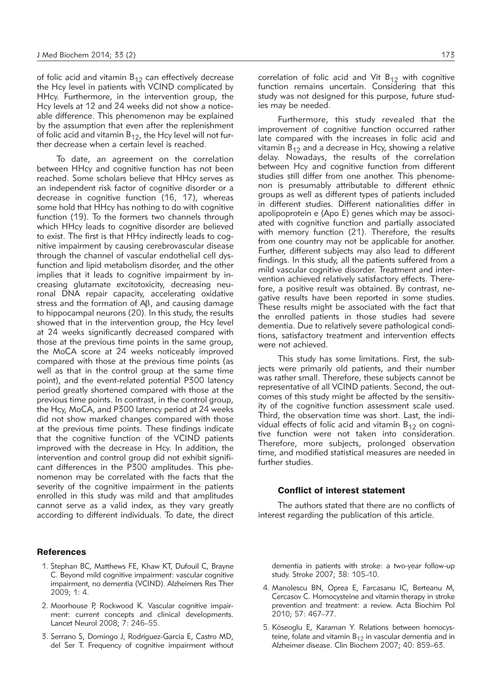of folic acid and vitamin  $B_{12}$  can effectively decrease the Hcy level in patients with VCIND complicated by HHcy. Furthermore, in the intervention group, the Hcy levels at 12 and 24 weeks did not show a noticeable difference. This phenomenon may be explained by the assumption that even after the replenishment of folic acid and vitamin  $B_{12}$ , the Hcy level will not further decrease when a certain level is reached.

To date, an agreement on the correlation between HHcy and cognitive function has not been reached. Some scholars believe that HHcy serves as an independent risk factor of cognitive disorder or a decrease in cognitive function (16, 17), whereas some hold that HHcy has nothing to do with cognitive function (19). To the formers two channels through which HHcy leads to cognitive disorder are believed to exist. The first is that HHcy indirectly leads to cognitive impairment by causing cerebrovascular disease through the channel of vascular endothelial cell dysfunction and lipid metabolism disorder, and the other implies that it leads to cognitive impairment by increasing glutamate excitotoxicity, decreasing neuronal DNA repair capacity, accelerating oxidative stress and the formation of  $\mathsf{AB},$  and causing damage to hippocampal neurons (20). In this study, the results showed that in the intervention group, the Hcy level at 24 weeks significantly decreased compared with those at the previous time points in the same group, the MoCA score at 24 weeks noticeably improved compared with those at the previous time points (as well as that in the control group at the same time point), and the event-related potential P300 latency period greatly shortened compared with those at the previous time points. In contrast, in the control group, the Hcy, MoCA, and P300 latency period at 24 weeks did not show marked changes compared with those at the previous time points. These findings indicate that the cognitive function of the VCIND patients improved with the decrease in Hcy. In addition, the intervention and control group did not exhibit significant differences in the P300 amplitudes. This phenomenon may be correlated with the facts that the severity of the cognitive impairment in the patients enrolled in this study was mild and that amplitudes cannot serve as a valid index, as they vary greatly according to different individuals. To date, the direct

## **References**

- 1. Stephan BC, Matthews FE, Khaw KT, Dufouil C, Brayne C. Beyond mild cognitive impairment: vascular cognitive impairment, no dementia (VCIND). Alzheimers Res Ther 2009; 1: 4.
- 2. Moorhouse P, Rockwood K. Vascular cognitive impairment: current concepts and clinical developments. Lancet Neurol 2008; 7: 246–55.
- 3. Serrano S, Domingo J, Rodríguez-Garcia E, Castro MD, del Ser T. Frequency of cognitive impairment without

correlation of folic acid and Vit  $B_{12}$  with cognitive function remains uncertain. Considering that this study was not designed for this purpose, future studies may be needed.

Furthermore, this study revealed that the improvement of cognitive function occurred rather late compared with the increases in folic acid and vitamin  $B_{12}$  and a decrease in Hcy, showing a relative delay. Nowadays, the results of the correlation between Hcy and cognitive function from different studies still differ from one another. This phenomenon is presumably attributable to different ethnic groups as well as different types of patients included in different studies. Different nationalities differ in apolipoprotein e (Apo E) genes which may be associated with cognitive function and partially associated with memory function (21). Therefore, the results from one country may not be applicable for another. Further, different subjects may also lead to different findings. In this study, all the patients suffered from a mild vascular cognitive disorder. Treatment and intervention achieved relatively satisfactory effects. Therefore, a positive result was obtained. By contrast, negative results have been reported in some studies. These results might be associated with the fact that the enrolled patients in those studies had severe dementia. Due to relatively severe pathological conditions, satisfactory treatment and intervention effects were not achieved.

This study has some limitations. First, the subjects were primarily old patients, and their number was rather small. Therefore, these subjects cannot be representative of all VCIND patients. Second, the outcomes of this study might be affected by the sensitivity of the cognitive function assessment scale used. Third, the observation time was short. Last, the individual effects of folic acid and vitamin  $B_{12}$  on cognitive function were not taken into consideration. Therefore, more subjects, prolonged observation time, and modified statistical measures are needed in further studies.

#### Conflict of interest statement

The authors stated that there are no conflicts of interest regarding the publication of this article.

dementia in patients with stroke: a two-year follow-up study. Stroke 2007; 38: 105–10.

- 4. Manolescu BN, Oprea E, Farcasanu IC, Berteanu M, Cercasov C. Homocysteine and vitamin therapy in stroke prevention and treatment: a review. Acta Biochim Pol 2010; 57: 467–77.
- 5. Köseoglu E, Karaman Y. Relations between homocysteine, folate and vitamin  $B_{12}$  in vascular dementia and in Alzheimer disease. Clin Biochem 2007; 40: 859–63.